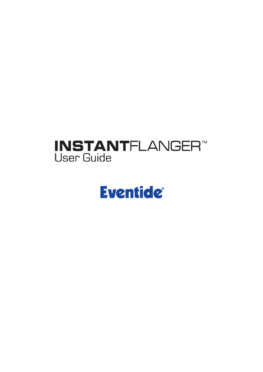## **INSTANTFLANGER™ User Guide**

# **Eventide®**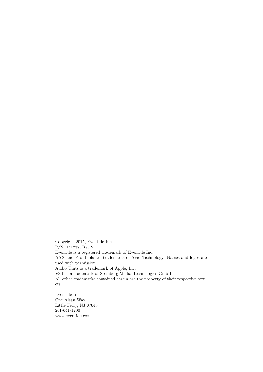Copyright 2015, Eventide Inc. P/N: 141237, Rev 2 Eventide is a registered trademark of Eventide Inc. AAX and Pro Tools are trademarks of Avid Technology. Names and logos are used with permission. Audio Units is a trademark of Apple, Inc. VST is a trademark of Steinberg Media Technologies GmbH. All other trademarks contained herein are the property of their respective owners.

Eventide Inc. One Alsan Way Little Ferry, NJ 07643 201-641-1200 www.eventide.com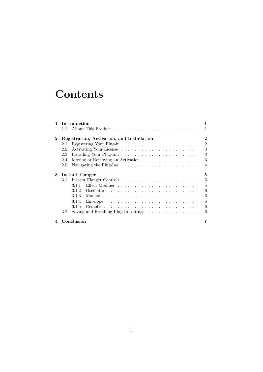## **Contents**

| 1        | Introduction                               |                                                                                    |                |  |
|----------|--------------------------------------------|------------------------------------------------------------------------------------|----------------|--|
|          | $1.1\,$                                    |                                                                                    | 1              |  |
| $\bf{2}$ | Registration, Activation, and Installation |                                                                                    |                |  |
|          | 2.1                                        |                                                                                    | $\overline{2}$ |  |
|          | 2.2                                        |                                                                                    | 3              |  |
|          | 2.3                                        |                                                                                    | 3              |  |
|          | 2.4                                        | Moving or Removing an Activation                                                   | 3              |  |
|          | 2.5                                        | Navigating the Plug-Ins $\dots \dots \dots \dots \dots \dots \dots \dots$          | $\overline{4}$ |  |
| 3        |                                            | Instant Flanger                                                                    | 5              |  |
|          | 3.1                                        |                                                                                    | 5              |  |
|          |                                            | 3.1.1                                                                              | 5              |  |
|          |                                            | 3.1.2                                                                              | 6              |  |
|          |                                            | 3.1.3                                                                              | 6              |  |
|          |                                            | Envelope $\ldots \ldots \ldots \ldots \ldots \ldots \ldots \ldots \ldots$<br>3.1.4 | 6              |  |
|          |                                            | 3.1.5                                                                              | 6              |  |
|          |                                            |                                                                                    | 6              |  |
|          | 3.2                                        | Saving and Recalling Plug-In settings $\ldots \ldots \ldots \ldots$                |                |  |
|          |                                            | Conclusion                                                                         |                |  |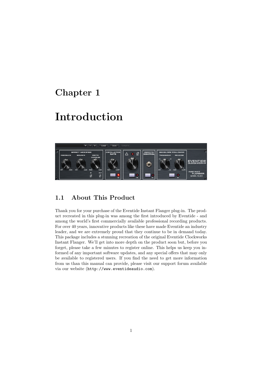## Introduction



### 1.1 About This Product

Thank you for your purchase of the Eventide Instant Flanger plug-in. The product recreated in this plug-in was among the first introduced by Eventide - and among the world's first commercially available professional recording products. For over 40 years, innovative products like these have made Eventide an industry leader, and we are extremely proud that they continue to be in demand today. This package includes a stunning recreation of the original Eventide Clockworks Instant Flanger. We'll get into more depth on the product soon but, before you forget, please take a few minutes to register online. This helps us keep you informed of any important software updates, and any special offers that may only be available to registered users. If you find the need to get more information from us than this manual can provide, please visit our support forum available via our website (http://www.eventideaudio.com).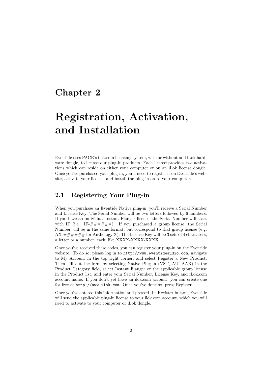## Registration, Activation, and Installation

Eventide uses PACE's ilok.com licensing system, with or without and iLok hardware dongle, to license our plug-in products. Each license provides two activations which can reside on either your computer or on an iLok license dongle. Once you've purchased your plug-in, you'll need to register it on Eventide's website, activate your license, and install the plug-in on to your computer.

### 2.1 Registering Your Plug-in

When you purchase an Eventide Native plug-in, you'll receive a Serial Number and License Key. The Serial Number will be two letters followed by 6 numbers. If you have an individual Instant Flanger license, the Serial Number will start with IF (i.e. IF- $\# \# \# \# \#$ ). If you purchased a group license, the Serial Number will be in the same format, but correspond to that group license (e.g.  $AX+\# \# \# \#$  for Anthology X). The License Key will be 3 sets of 4 characters, a letter or a number, each; like XXXX-XXXX-XXXX.

Once you've received these codes, you can register your plug-in on the Eventide website. To do so, please log in to http://www.eventideaudio.com, navigate to My Account in the top right corner, and select Register a New Product. Then, fill out the form by selecting Native Plug-in (VST, AU, AAX) in the Product Category field, select Instant Flanger or the applicable group license in the Product list, and enter your Serial Number, License Key, and iLok.com account name. If you don't yet have an ilok.com account, you can create one for free at http://www.ilok.com. Once you've done so, press Register.

Once you've entered this information and pressed the Register button, Eventide will send the applicable plug-in license to your ilok.com account, which you will need to activate to your computer or iLok dongle.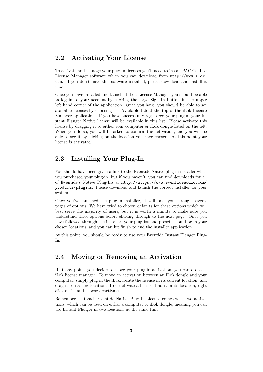### 2.2 Activating Your License

To activate and manage your plug-in licenses you'll need to install PACE's iLok License Manager software which you can download from http://www.ilok. com. If you don't have this software installed, please download and install it now.

Once you have installed and launched iLok License Manager you should be able to log in to your account by clicking the large Sign In button in the upper left hand corner of the application. Once you have, you should be able to see available licenses by choosing the Available tab at the top of the iLok License Manager application. If you have successfully registered your plugin, your Instant Flanger Native license will be available in this list. Please activate this license by dragging it to either your computer or iLok dongle listed on the left. When you do so, you will be asked to confirm the activation, and you will be able to see it by clicking on the location you have chosen. At this point your license is activated.

### 2.3 Installing Your Plug-In

You should have been given a link to the Eventide Native plug-in installer when you purchased your plug-in, but if you haven't, you can find downloads for all of Eventide's Native Plug-Ins at http://https://www.eventideaudio.com/ products/plugins. Please download and launch the correct installer for your system.

Once you've launched the plug-in installer, it will take you through several pages of options. We have tried to choose defaults for these options which will best serve the majority of users, but it is worth a minute to make sure you understand these options before clicking through to the next page. Once you have followed through the installer, your plug-ins and presets should be in your chosen locations, and you can hit finish to end the installer application.

At this point, you should be ready to use your Eventide Instant Flanger Plug-In.

### 2.4 Moving or Removing an Activation

If at any point, you decide to move your plug-in activation, you can do so in iLok license manager. To move an activation between an iLok dongle and your computer, simply plug in the iLok, locate the license in its current location, and drag it to its new location. To deactivate a license, find it in its location, right click on it, and choose deactivate.

Remember that each Eventide Native Plug-In License comes with two activations, which can be used on either a computer or iLok dongle, meaning you can use Instant Flanger in two locations at the same time.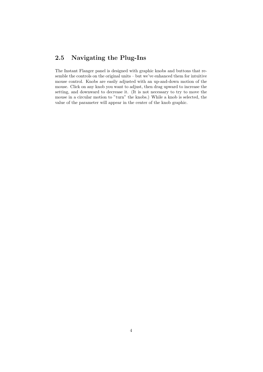### 2.5 Navigating the Plug-Ins

The Instant Flanger panel is designed with graphic knobs and buttons that resemble the controls on the original units – but we've enhanced them for intuitive mouse control. Knobs are easily adjusted with an up-and-down motion of the mouse. Click on any knob you want to adjust, then drag upward to increase the setting, and downward to decrease it. (It is not necessary to try to move the mouse in a circular motion to "turn" the knobs.) While a knob is selected, the value of the parameter will appear in the center of the knob graphic.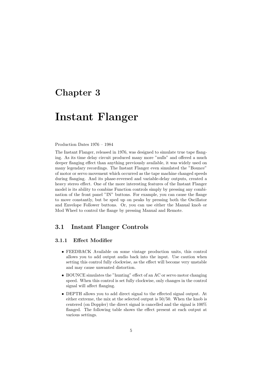### Instant Flanger

#### Production Dates 1976 – 1984

The Instant Flanger, released in 1976, was designed to simulate true tape flanging. As its time delay circuit produced many more "nulls" and offered a much deeper flanging effect than anything previously available, it was widely used on many legendary recordings. The Instant Flanger even simulated the "Bounce" of motor or servo movement which occurred as the tape machine changed speeds during flanging. And its phase-reversed and variable-delay outputs, created a heavy stereo effect. One of the more interesting features of the Instant Flanger model is its ability to combine Function controls simply by pressing any combination of the front panel "IN" buttons. For example, you can cause the flange to move constantly, but be sped up on peaks by pressing both the Oscillator and Envelope Follower buttons. Or, you can use either the Manual knob or Mod Wheel to control the flange by pressing Manual and Remote.

### 3.1 Instant Flanger Controls

#### 3.1.1 Effect Modifier

- FEEDBACK Available on some vintage production units, this control allows you to add output audio back into the input. Use caution when setting this control fully clockwise, as the effect will become very unstable and may cause unwanted distortion.
- BOUNCE simulates the "hunting" effect of an AC or servo motor changing speed. When this control is set fully clockwise, only changes in the control signal will affect flanging.
- DEPTH allows you to add direct signal to the effected signal output. At either extreme, the mix at the selected output is 50/50. When the knob is centered (on Doppler) the direct signal is cancelled and the signal is 100% flanged. The following table shows the effect present at each output at various settings.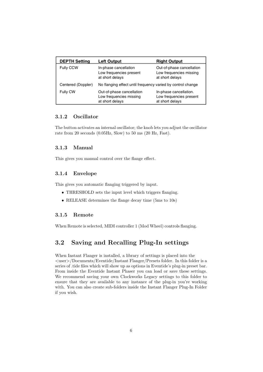| <b>DEPTH Setting</b> | <b>Left Output</b>                                                      | <b>Right Output</b>                                                     |
|----------------------|-------------------------------------------------------------------------|-------------------------------------------------------------------------|
| Fully CCW            | In-phase cancellation<br>Low frequencies present<br>at short delays     | Out-of-phase cancellation<br>Low frequencies missing<br>at short delays |
| Centered (Doppler)   | No flanging effect until frequency varied by control change             |                                                                         |
| Fully CW             | Out-of-phase cancellation<br>Low frequencies missing<br>at short delays | In-phase cancellation.<br>Low frequencies present<br>at short delays    |

#### 3.1.2 Oscillator

The button activates an internal oscillator; the knob lets you adjust the oscillator rate from 20 seconds (0.05Hz, Slow) to 50 ms (20 Hz, Fast).

#### 3.1.3 Manual

This gives you manual control over the flange effect.

#### 3.1.4 Envelope

This gives you automatic flanging triggered by input.

- THRESHOLD sets the input level which triggers flanging.
- RELEASE determines the flange decay time (5ms to 10s)

### 3.1.5 Remote

When Remote is selected, MIDI controller 1 (Mod Wheel) controls flanging.

### 3.2 Saving and Recalling Plug-In settings

When Instant Flanger is installed, a library of settings is placed into the <user>/Documents/Eventide/Instant Flanger/Presets folder. In this folder is a series of .tide files which will show up as options in Eventide's plug-in preset bar. From inside the Eventide Instant Phaser you can load or save these settings. We recommend saving your own Clockworks Legacy settings to this folder to ensure that they are available to any instance of the plug-in you're working with. You can also create sub-folders inside the Instant Flanger Plug-In Folder if you wish.